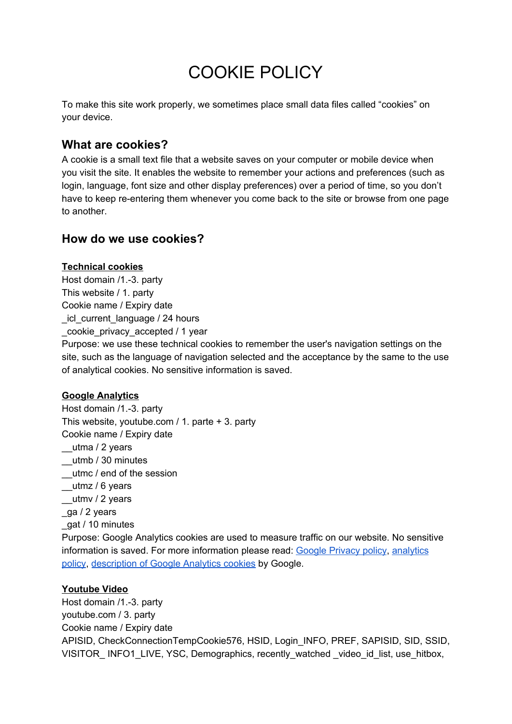# COOKIE POLICY

To make this site work properly, we sometimes place small data files called "cookies" on your device.

## **What are cookies?**

A cookie is a small text file that a website saves on your computer or mobile device when you visit the site. It enables the website to remember your actions and preferences (such as login, language, font size and other display preferences) over a period of time, so you don't have to keep re-entering them whenever you come back to the site or browse from one page to another.

## **How do we use cookies?**

#### **Technical cookies**

Host domain /1.-3. party This website / 1. party Cookie name / Expiry date \_icl\_current\_language / 24 hours \_cookie\_privacy\_accepted / 1 year

Purpose: we use these technical cookies to remember the user's navigation settings on the site, such as the language of navigation selected and the acceptance by the same to the use of analytical cookies. No sensitive information is saved.

### **Google Analytics**

Host domain /1.-3. party This website, youtube.com / 1. parte + 3. party Cookie name / Expiry date \_\_utma / 2 years \_\_utmb / 30 minutes \_\_utmc / end of the session \_\_utmz / 6 years \_\_utmv / 2 years \_ga / 2 years \_gat / 10 minutes Purpose: Google Analytics cookies are used to measure traffic on our website. No sensitive information is saved. For more information please read: [G](https://policies.google.com/privacy?hl=en-EN)oogle [Privacy](https://policies.google.com/privacy?hl=en-EN) policy[,](https://www.google.com/analytics/terms/us.html) [analytics](https://www.google.com/analytics/terms/us.html) [policy](https://www.google.com/analytics/terms/us.html), [description](https://developers.google.com/analytics/devguides/collection/analyticsjs/cookie-usage?hl=en&csw=1#HowGAUsesCookies) of Google Analytics cookies by Google.

#### **Youtube Video**

Host domain /1.-3. party youtube.com / 3. party Cookie name / Expiry date APISID, CheckConnectionTempCookie576, HSID, Login\_INFO, PREF, SAPISID, SID, SSID, VISITOR INFO1 LIVE, YSC, Demographics, recently watched video id list, use hitbox,